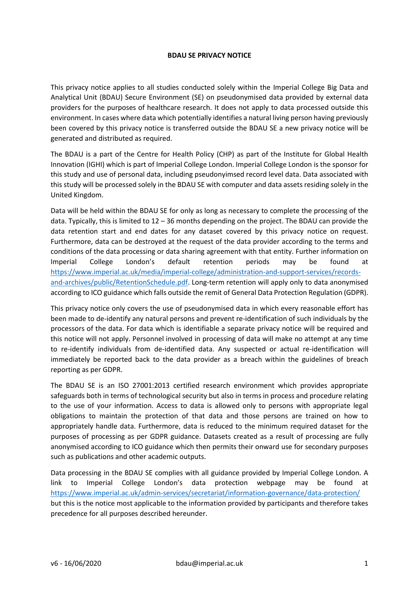## **BDAU SE PRIVACY NOTICE**

This privacy notice applies to all studies conducted solely within the Imperial College Big Data and Analytical Unit (BDAU) Secure Environment (SE) on pseudonymised data provided by external data providers for the purposes of healthcare research. It does not apply to data processed outside this environment. In cases where data which potentially identifies a natural living person having previously been covered by this privacy notice is transferred outside the BDAU SE a new privacy notice will be generated and distributed as required.

The BDAU is a part of the Centre for Health Policy (CHP) as part of the Institute for Global Health Innovation (IGHI) which is part of Imperial College London. Imperial College London is the sponsor for this study and use of personal data, including pseudonyimsed record level data. Data associated with this study will be processed solely in the BDAU SE with computer and data assets residing solely in the United Kingdom.

Data will be held within the BDAU SE for only as long as necessary to complete the processing of the data. Typically, this is limited to 12 – 36 months depending on the project. The BDAU can provide the data retention start and end dates for any dataset covered by this privacy notice on request. Furthermore, data can be destroyed at the request of the data provider according to the terms and conditions of the data processing or data sharing agreement with that entity. Further information on Imperial College London's default retention periods may be found at [https://www.imperial.ac.uk/media/imperial-college/administration-and-support-services/records](https://www.imperial.ac.uk/media/imperial-college/administration-and-support-services/records-and-archives/public/RetentionSchedule.pdf)[and-archives/public/RetentionSchedule.pdf.](https://www.imperial.ac.uk/media/imperial-college/administration-and-support-services/records-and-archives/public/RetentionSchedule.pdf) Long-term retention will apply only to data anonymised according to ICO guidance which falls outside the remit of General Data Protection Regulation (GDPR).

This privacy notice only covers the use of pseudonymised data in which every reasonable effort has been made to de-identify any natural persons and prevent re-identification of such individuals by the processors of the data. For data which is identifiable a separate privacy notice will be required and this notice will not apply. Personnel involved in processing of data will make no attempt at any time to re-identify individuals from de-identified data. Any suspected or actual re-identification will immediately be reported back to the data provider as a breach within the guidelines of breach reporting as per GDPR.

The BDAU SE is an ISO 27001:2013 certified research environment which provides appropriate safeguards both in terms of technological security but also in terms in process and procedure relating to the use of your information. Access to data is allowed only to persons with appropriate legal obligations to maintain the protection of that data and those persons are trained on how to appropriately handle data. Furthermore, data is reduced to the minimum required dataset for the purposes of processing as per GDPR guidance. Datasets created as a result of processing are fully anonymised according to ICO guidance which then permits their onward use for secondary purposes such as publications and other academic outputs.

Data processing in the BDAU SE complies with all guidance provided by Imperial College London. A link to Imperial College London's data protection webpage may be found at <https://www.imperial.ac.uk/admin-services/secretariat/information-governance/data-protection/> but this is the notice most applicable to the information provided by participants and therefore takes precedence for all purposes described hereunder.